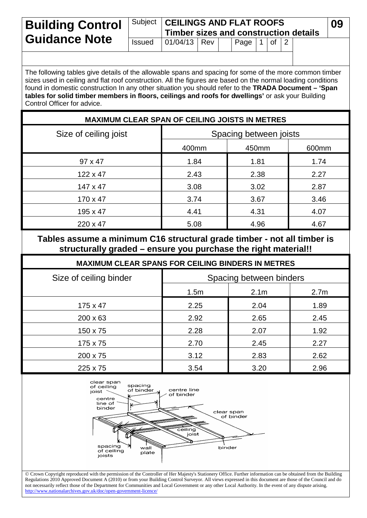| <b>Building Control</b><br><b>Guidance Note</b> |               | Subject   CEILINGS AND FLAT ROOFS<br>Timber sizes and construction details |  |  |                     |  |  |  | 09 |  |
|-------------------------------------------------|---------------|----------------------------------------------------------------------------|--|--|---------------------|--|--|--|----|--|
|                                                 | <b>Issued</b> | $ 01/04/13 $ Rev                                                           |  |  | Page $ 1 $ of $ 2 $ |  |  |  |    |  |
|                                                 |               |                                                                            |  |  |                     |  |  |  |    |  |

The following tables give details of the allowable spans and spacing for some of the more common timber sizes used in ceiling and flat roof construction. All the figures are based on the normal loading conditions found in domestic construction In any other situation you should refer to the **TRADA Document – 'Span tables for solid timber members in floors, ceilings and roofs for dwellings'** or ask your Building Control Officer for advice.

## **MAXIMUM CLEAR SPAN OF CEILING JOISTS IN METRES**

| Size of ceiling joist | Spacing between joists |       |       |  |  |
|-----------------------|------------------------|-------|-------|--|--|
|                       | 400mm                  | 450mm | 600mm |  |  |
| $97 \times 47$        | 1.84                   | 1.81  | 1.74  |  |  |
| $122 \times 47$       | 2.43                   | 2.38  | 2.27  |  |  |
| $147 \times 47$       | 3.08                   | 3.02  | 2.87  |  |  |
| $170 \times 47$       | 3.74                   | 3.67  | 3.46  |  |  |
| 195 x 47              | 4.41                   | 4.31  | 4.07  |  |  |
| 220 x 47              | 5.08                   | 4.96  | 4.67  |  |  |

## **Tables assume a minimum C16 structural grade timber - not all timber is structurally graded – ensure you purchase the right material!!**

| <b>MAXIMUM CLEAR SPANS FOR CEILING BINDERS IN METRES</b> |                         |                  |                  |  |  |
|----------------------------------------------------------|-------------------------|------------------|------------------|--|--|
| Size of ceiling binder                                   | Spacing between binders |                  |                  |  |  |
|                                                          | 1.5m                    | 2.1 <sub>m</sub> | 2.7 <sub>m</sub> |  |  |
| $175 \times 47$                                          | 2.25                    | 2.04             | 1.89             |  |  |
| $200 \times 63$                                          | 2.92                    | 2.65             | 2.45             |  |  |
| 150 x 75                                                 | 2.28                    | 2.07             | 1.92             |  |  |
| 175 x 75                                                 | 2.70                    | 2.45             | 2.27             |  |  |
| 200 x 75                                                 | 3.12                    | 2.83             | 2.62             |  |  |
| 225 x 75                                                 | 3.54                    | 3.20             | 2.96             |  |  |



 Crown Copyright reproduced with the permission of the Controller of Her Majesty's Stationery Office. Further information can be obtained from the Building Regulations 2010 Approved Document A (2010) or from your Building Control Surveyor. All views expressed in this document are those of the Council and do not necessarily reflect those of the Department for Communities and Local Government or any other Local Authority. In the event of any dispute arising. <http://www.nationalarchives.gov.uk/doc/open-government-licence/>